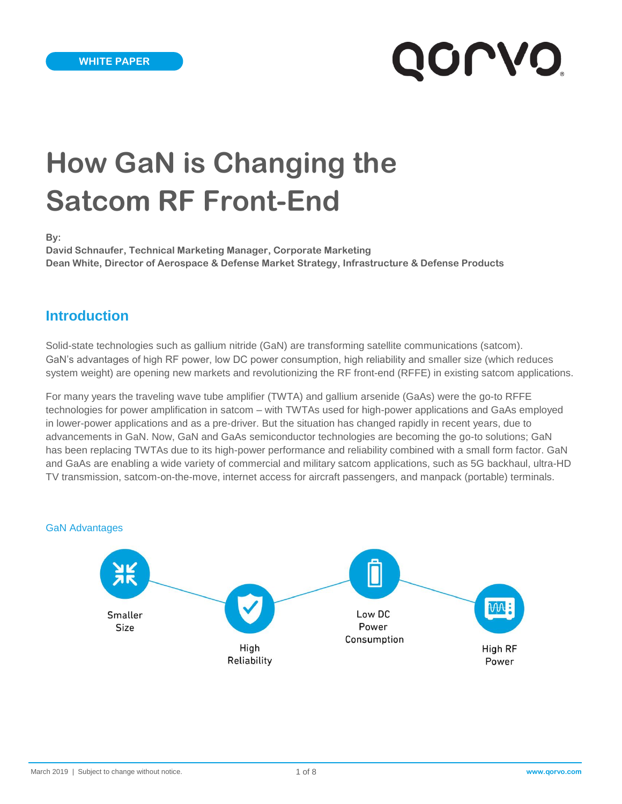# **How GaN is Changing the Satcom RF Front-End**

**By:**

**David Schnaufer, Technical Marketing Manager, Corporate Marketing Dean White, Director of Aerospace & Defense Market Strategy, Infrastructure & Defense Products**

### **Introduction**

Solid-state technologies such as gallium nitride (GaN) are transforming satellite communications (satcom). GaN's advantages of high RF power, low DC power consumption, high reliability and smaller size (which reduces system weight) are opening new markets and revolutionizing the RF front-end (RFFE) in existing satcom applications.

For many years the traveling wave tube amplifier (TWTA) and gallium arsenide (GaAs) were the go-to RFFE technologies for power amplification in satcom – with TWTAs used for high-power applications and GaAs employed in lower-power applications and as a pre-driver. But the situation has changed rapidly in recent years, due to advancements in GaN. Now, GaN and GaAs semiconductor technologies are becoming the go-to solutions; GaN has been replacing TWTAs due to its high-power performance and reliability combined with a small form factor. GaN and GaAs are enabling a wide variety of commercial and military satcom applications, such as 5G backhaul, ultra-HD TV transmission, satcom-on-the-move, internet access for aircraft passengers, and manpack (portable) terminals.

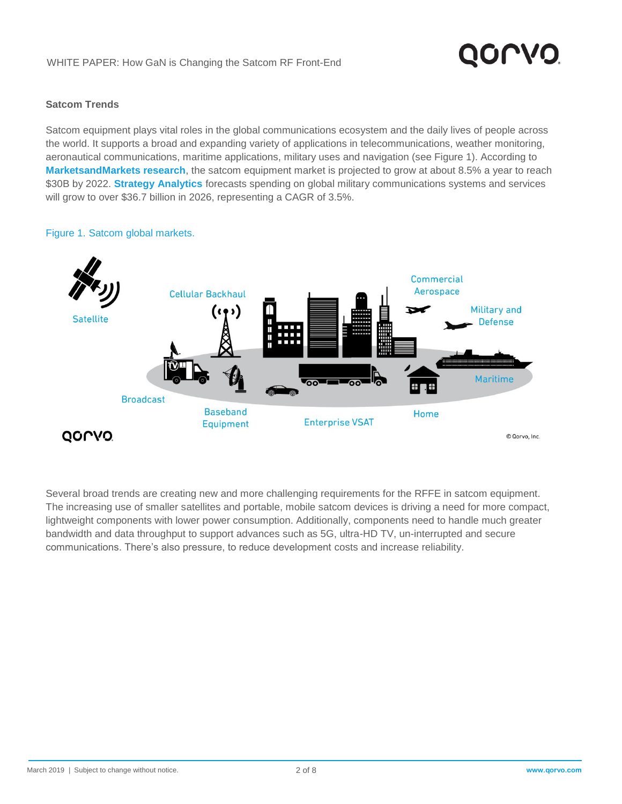#### **Satcom Trends**

Satcom equipment plays vital roles in the global communications ecosystem and the daily lives of people across the world. It supports a broad and expanding variety of applications in telecommunications, weather monitoring, aeronautical communications, maritime applications, military uses and navigation (see Figure 1). According to **[MarketsandMarkets research](https://www.marketsandmarkets.com/Market-Reports/satellite-communication-satcom-equipment-market-159285646.html)**, the satcom equipment market is projected to grow at about 8.5% a year to reach \$30B by 2022. **[Strategy Analytics](http://www.microwavejournal.com/articles/31920-military-satellite-terminals-rf-technology-trends-and-outlook)** forecasts spending on global military communications systems and services will grow to over \$36.7 billion in 2026, representing a CAGR of 3.5%.

#### Figure 1. Satcom global markets.



Several broad trends are creating new and more challenging requirements for the RFFE in satcom equipment. The increasing use of smaller satellites and portable, mobile satcom devices is driving a need for more compact, lightweight components with lower power consumption. Additionally, components need to handle much greater bandwidth and data throughput to support advances such as 5G, ultra-HD TV, un-interrupted and secure communications. There's also pressure, to reduce development costs and increase reliability.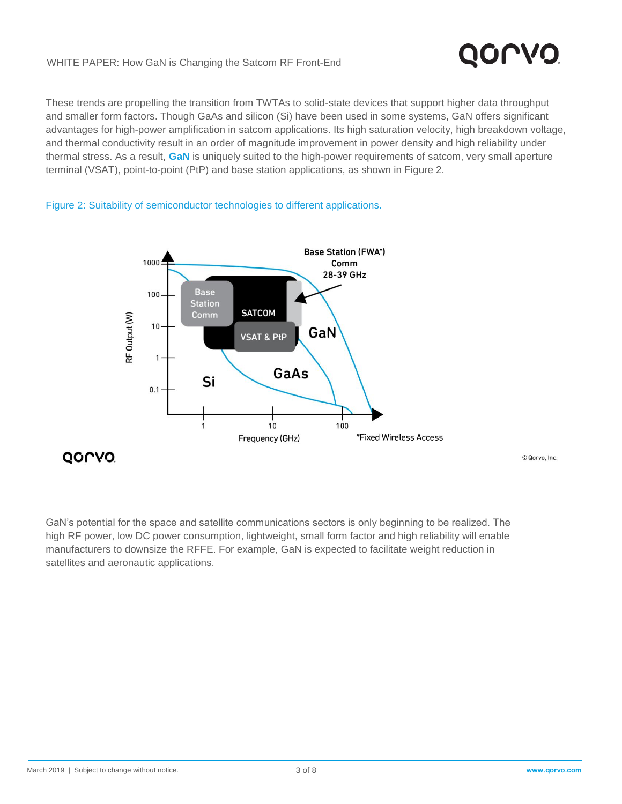#### WHITE PAPER: How GaN is Changing the Satcom RF Front-End

These trends are propelling the transition from TWTAs to solid-state devices that support higher data throughput and smaller form factors. Though GaAs and silicon (Si) have been used in some systems, GaN offers significant advantages for high-power amplification in satcom applications. Its high saturation velocity, high breakdown voltage, and thermal conductivity result in an order of magnitude improvement in power density and high reliability under thermal stress. As a result, **[GaN](https://www.qorvo.com/innovation/technology/gan)** is uniquely suited to the high-power requirements of satcom, very small aperture terminal (VSAT), point-to-point (PtP) and base station applications, as shown in Figure 2.



Figure 2: Suitability of semiconductor technologies to different applications.

GaN's potential for the space and satellite communications sectors is only beginning to be realized. The high RF power, low DC power consumption, lightweight, small form factor and high reliability will enable manufacturers to downsize the RFFE. For example, GaN is expected to facilitate weight reduction in satellites and aeronautic applications.

© Qorvo, Inc.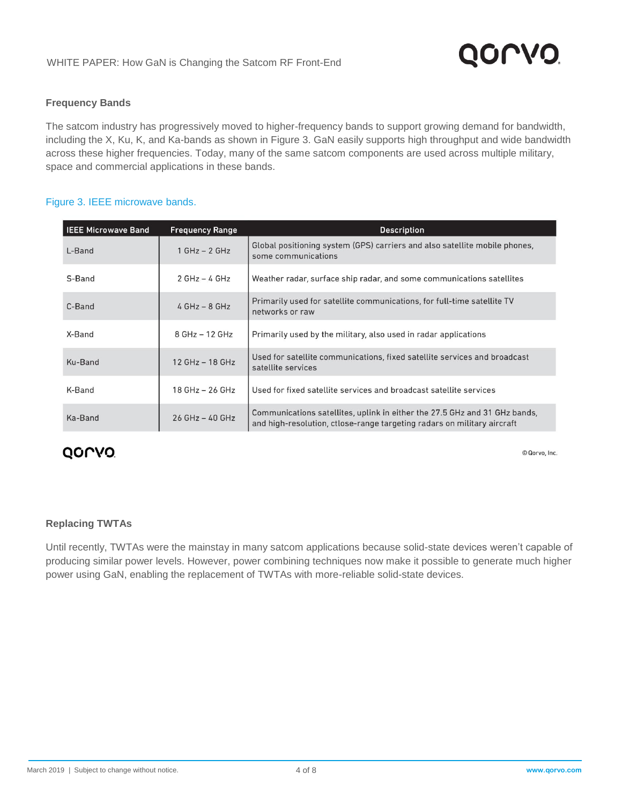#### **Frequency Bands**

The satcom industry has progressively moved to higher-frequency bands to support growing demand for bandwidth, including the X, Ku, K, and Ka-bands as shown in Figure 3. GaN easily supports high throughput and wide bandwidth across these higher frequencies. Today, many of the same satcom components are used across multiple military, space and commercial applications in these bands.

#### Figure 3. IEEE microwave bands.

| <b>IEEE Microwave Band</b> | <b>Frequency Range</b> | <b>Description</b>                                                                                                                                    |
|----------------------------|------------------------|-------------------------------------------------------------------------------------------------------------------------------------------------------|
| L-Band                     | $1 GHz - 2 GHz$        | Global positioning system (GPS) carriers and also satellite mobile phones,<br>some communications                                                     |
| S-Band                     | $2 GHz - 4 GHz$        | Weather radar, surface ship radar, and some communications satellites                                                                                 |
| C-Band                     | $4 GHz - 8 GHz$        | Primarily used for satellite communications, for full-time satellite TV<br>networks or raw                                                            |
| X-Band                     | 8 GHz - 12 GHz         | Primarily used by the military, also used in radar applications                                                                                       |
| Ku-Band                    | $12$ GHz $-$ 18 GHz    | Used for satellite communications, fixed satellite services and broadcast<br>satellite services                                                       |
| K-Band                     | $18$ GHz $-$ 26 GHz    | Used for fixed satellite services and broadcast satellite services                                                                                    |
| Ka-Band                    | $26$ GHz $-$ 40 GHz    | Communications satellites, uplink in either the 27.5 GHz and 31 GHz bands,<br>and high-resolution, ctlose-range targeting radars on military aircraft |

### **QOLVO**

© Qorvo, Inc.

### **Replacing TWTAs**

Until recently, TWTAs were the mainstay in many satcom applications because solid-state devices weren't capable of producing similar power levels. However, power combining techniques now make it possible to generate much higher power using GaN, enabling the replacement of TWTAs with more-reliable solid-state devices.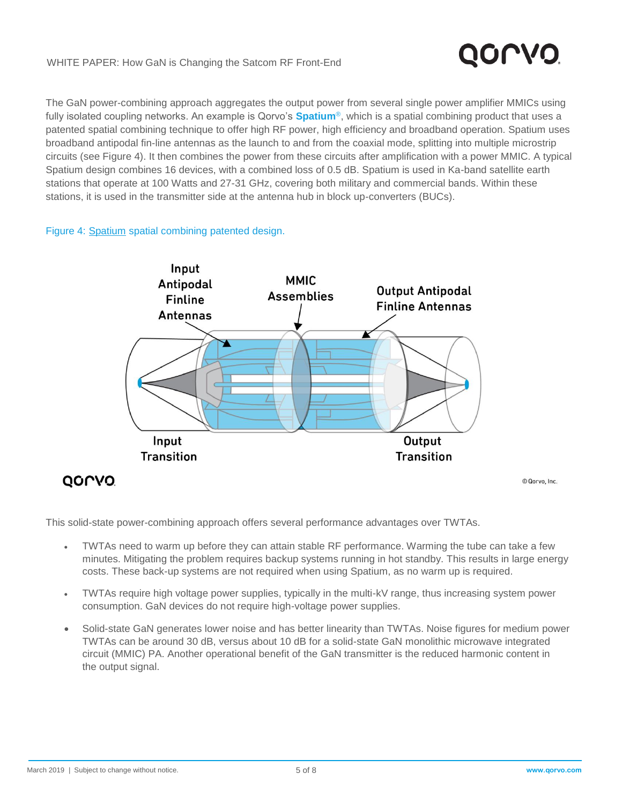#### WHITE PAPER: How GaN is Changing the Satcom RF Front-End

# QOLVO

The GaN power-combining approach aggregates the output power from several single power amplifier MMICs using fully isolated coupling networks. An example is Qorvo's **[Spatium](https://www.qorvo.com/products/spatium)**®, which is a spatial combining product that uses a patented spatial combining technique to offer high RF power, high efficiency and broadband operation. Spatium uses broadband antipodal fin-line antennas as the launch to and from the coaxial mode, splitting into multiple microstrip circuits (see Figure 4). It then combines the power from these circuits after amplification with a power MMIC. A typical Spatium design combines 16 devices, with a combined loss of 0.5 dB. Spatium is used in Ka-band satellite earth stations that operate at 100 Watts and 27-31 GHz, covering both military and commercial bands. Within these stations, it is used in the transmitter side at the antenna hub in block up-converters (BUCs).

#### Figure 4: [Spatium](https://www.qorvo.com/resources/d/qorvo-spatium-sspa-technology-brochure) spatial combining patented design.



This solid-state power-combining approach offers several performance advantages over TWTAs.

- TWTAs need to warm up before they can attain stable RF performance. Warming the tube can take a few minutes. Mitigating the problem requires backup systems running in hot standby. This results in large energy costs. These back-up systems are not required when using Spatium, as no warm up is required.
- TWTAs require high voltage power supplies, typically in the multi-kV range, thus increasing system power consumption. GaN devices do not require high-voltage power supplies.
- Solid-state GaN generates lower noise and has better linearity than TWTAs. Noise figures for medium power TWTAs can be around 30 dB, versus about 10 dB for a solid-state GaN monolithic microwave integrated circuit (MMIC) PA. Another operational benefit of the GaN transmitter is the reduced harmonic content in the output signal.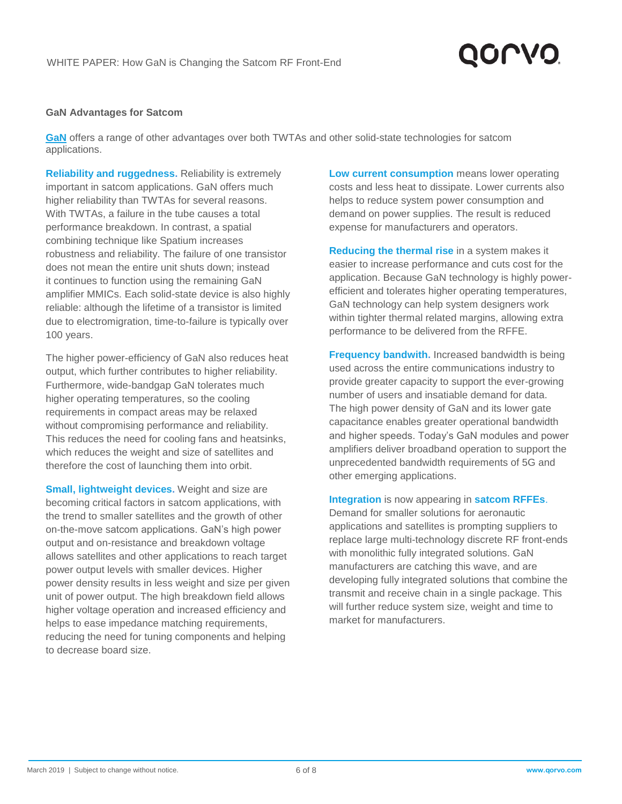# QOLVO

#### **GaN Advantages for Satcom**

**[GaN](https://www.qorvo.com/innovation/technology/gan)** offers a range of other advantages over both TWTAs and other solid-state technologies for satcom applications.

**Reliability and ruggedness.** Reliability is extremely important in satcom applications. GaN offers much higher reliability than TWTAs for several reasons. With TWTAs, a failure in the tube causes a total performance breakdown. In contrast, a spatial combining technique like Spatium increases robustness and reliability. The failure of one transistor does not mean the entire unit shuts down; instead it continues to function using the remaining GaN amplifier MMICs. Each solid-state device is also highly reliable: although the lifetime of a transistor is limited due to electromigration, time-to-failure is typically over 100 years.

The higher power-efficiency of GaN also reduces heat output, which further contributes to higher reliability. Furthermore, wide-bandgap GaN tolerates much higher operating temperatures, so the cooling requirements in compact areas may be relaxed without compromising performance and reliability. This reduces the need for cooling fans and heatsinks, which reduces the weight and size of satellites and therefore the cost of launching them into orbit.

**Small, lightweight devices.** Weight and size are becoming critical factors in satcom applications, with the trend to smaller satellites and the growth of other on-the-move satcom applications. GaN's high power output and on-resistance and breakdown voltage allows satellites and other applications to reach target power output levels with smaller devices. Higher power density results in less weight and size per given unit of power output. The high breakdown field allows higher voltage operation and increased efficiency and helps to ease impedance matching requirements, reducing the need for tuning components and helping to decrease board size.

**Low current consumption** means lower operating costs and less heat to dissipate. Lower currents also helps to reduce system power consumption and demand on power supplies. The result is reduced expense for manufacturers and operators.

**Reducing the thermal rise** in a system makes it easier to increase performance and cuts cost for the application. Because GaN technology is highly powerefficient and tolerates higher operating temperatures, GaN technology can help system designers work within tighter thermal related margins, allowing extra performance to be delivered from the RFFE.

**Frequency bandwith.** Increased bandwidth is being used across the entire communications industry to provide greater capacity to support the ever-growing number of users and insatiable demand for data. The high power density of GaN and its lower gate capacitance enables greater operational bandwidth and higher speeds. Today's GaN modules and power amplifiers deliver broadband operation to support the unprecedented bandwidth requirements of 5G and other emerging applications.

**Integration** is now appearing in **[satcom RFFEs](https://www.qorvo.com/applications/network-infrastructure/satellite-communications#ba0032)**. Demand for smaller solutions for aeronautic applications and satellites is prompting suppliers to replace large multi-technology discrete RF front-ends with monolithic fully integrated solutions. GaN manufacturers are catching this wave, and are developing fully integrated solutions that combine the transmit and receive chain in a single package. This will further reduce system size, weight and time to market for manufacturers.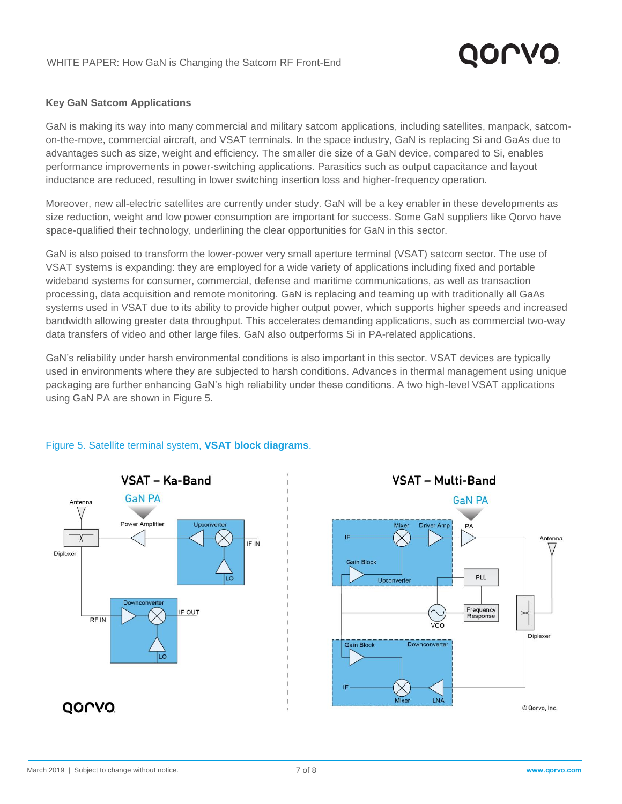# QOLVO

#### **Key GaN Satcom Applications**

GaN is making its way into many commercial and military satcom applications, including satellites, manpack, satcomon-the-move, commercial aircraft, and VSAT terminals. In the space industry, GaN is replacing Si and GaAs due to advantages such as size, weight and efficiency. The smaller die size of a GaN device, compared to Si, enables performance improvements in power-switching applications. Parasitics such as output capacitance and layout inductance are reduced, resulting in lower switching insertion loss and higher-frequency operation.

Moreover, new all-electric satellites are currently under study. GaN will be a key enabler in these developments as size reduction, weight and low power consumption are important for success. Some GaN suppliers like Qorvo have space-qualified their technology, underlining the clear opportunities for GaN in this sector.

GaN is also poised to transform the lower-power very small aperture terminal (VSAT) satcom sector. The use of VSAT systems is expanding: they are employed for a wide variety of applications including fixed and portable wideband systems for consumer, commercial, defense and maritime communications, as well as transaction processing, data acquisition and remote monitoring. GaN is replacing and teaming up with traditionally all GaAs systems used in VSAT due to its ability to provide higher output power, which supports higher speeds and increased bandwidth allowing greater data throughput. This accelerates demanding applications, such as commercial two-way data transfers of video and other large files. GaN also outperforms Si in PA-related applications.

GaN's reliability under harsh environmental conditions is also important in this sector. VSAT devices are typically used in environments where they are subjected to harsh conditions. Advances in thermal management using unique packaging are further enhancing GaN's high reliability under these conditions. A two high-level VSAT applications using GaN PA are shown in Figure 5.



### Figure 5. Satellite terminal system, **[VSAT block diagrams](https://www.qorvo.com/applications/network-infrastructure/satellite-communications#ba0033)**.